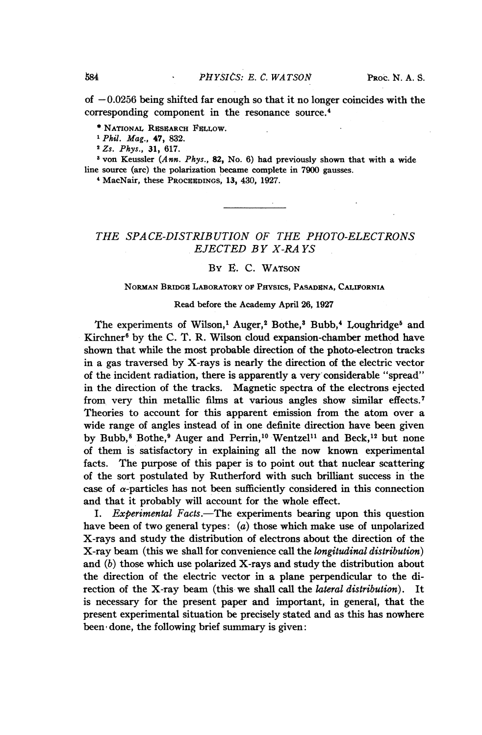of  $-0.0256$  being shifted far enough so that it no longer coincides with the corresponding component in the resonance source.4

\* NATIONAL RESEARCH FELLOW.

'Phil. Mag., 47, 832.

2Zs. Phys., 31, 617.

<sup>3</sup> von Keussler (Ann. Phys., 82, No. 6) had previously shown that with a wide line source (arc) the polarization became complete in 7900 gausses.

<sup>4</sup> MacNair, these PROCEEDINGS, 13, 430, 1927.

## THE SPACE-DISTRIBUTION OF THE PHOTO-ELECTRONS EJECTED BY X-RA YS

## By E. C. WATSON

## NORMAN BRIDGR LABORATORY OF PHYSICS, PASADENA, CALIFORNIA

## Read before the Academy April 26, 1927

The experiments of Wilson,<sup>1</sup> Auger,<sup>2</sup> Bothe,<sup>3</sup> Bubb,<sup>4</sup> Loughridge<sup>5</sup> and Kirchner $^6$  by the C. T. R. Wilson cloud expansion-chamber method have shown that while the most probable direction of the photo-electron tracks in a gas traversed by X-rays is nearly the direction of the electric vector of the incident radiation, there is apparently a very considerable "spread" in the direction of the tracks. Magnetic spectra of the electrons ejected from very thin metallic films at various angles show similar effects.7 Theories to account for this apparent emission from the atom over a wide range of angles instead of in one definite direction have been given by Bubb,<sup>8</sup> Bothe,<sup>9</sup> Auger and Perrin,<sup>10</sup> Wentzel<sup>11</sup> and Beck,<sup>12</sup> but none of them is satisfactory in explaining all the now known experimental facts. The purpose of this paper is to point out that nuclear scattering of the sort postulated by Rutherford with such brilliant success in the case of  $\alpha$ -particles has not been sufficiently considered in this connection and that it probably will account for the whole effect.

I. Experimental Facts.-The experiments bearing upon this question have been of two general types:  $(a)$  those which make use of unpolarized X-rays and study the distribution of electrons about the direction of the X-ray beam (this we shall for convenience call the longitudinal distribution) and  $(b)$  those which use polarized X-rays and study the distribution about the direction of the electric vector in a plane perpendicular to the direction of the X-ray beam (this we shall call the *lateral distribution*). It is necessary for the present paper and important, in general, that the present experimental situation be precisely stated and as this has nowhere been' done, the following brief summary is given: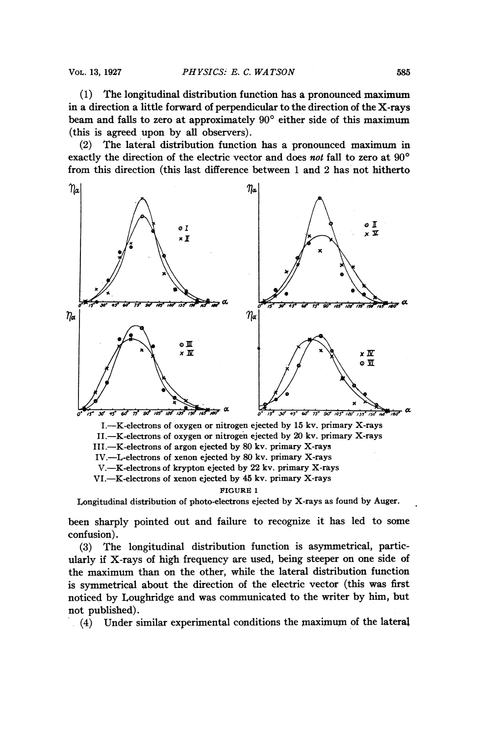(1) The longitudinal distribution function has a pronounced maximum in a direction a little forward of perpendicular to the direction of the X-rays beam and falls to zero at approximately  $90^{\circ}$  either side of this maximum (this is agreed upon by all observers).

(2) The lateral distribution function has a pronounced maximum in exactly the direction of the electric vector and does not fall to zero at 90° from this direction (this last difference between <sup>1</sup> and 2 has not hitherto



Longitudinal distribution of photo-electrons ejected by X-rays as found by Auger.

been sharply pointed out and failure to recognize it has led to some confusion).

(3) The longitudinal distribution function is asymmetrical, particularly if X-rays of high frequency are used, being steeper on one side of the maximum than on the other, while the lateral distribution function is symmetrical about the direction of the electric vector (this was first noticed by Loughridge and was communicated to the writer by him, but not published).

(4) Under similar experimental conditions the maximum of the lateral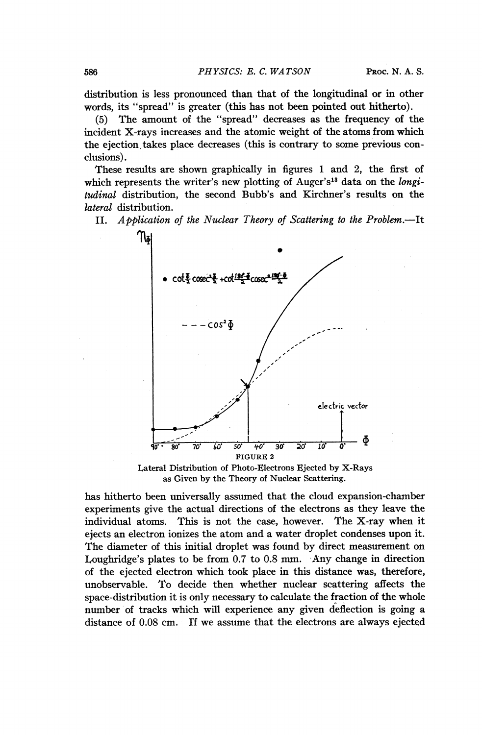distribution is less pronounced than that of the longitudinal or in other words, its "spread" is greater (this has not been pointed out hitherto).

(5) The amount of the "spread" decreases as the frequency of the incident X-rays increases and the atomic weight of the atoms from which the ejection takes place decreases (this is contrary to some previous conclusions).

These results are shown graphically in figures <sup>1</sup> and 2, the first of which represents the writer's new plotting of Auger's<sup>13</sup> data on the longitudinal distribution, the second Bubb's and Kirchner's results on the lateral distribution.

II. Application of the Nuclear Theory of Scattering to the Problem.—It



Lateral Distribution of Photo-Electrons Ejected by X-Rays as Given by the Theory of Nuclear Scattering.

has hitherto been universally assumed that the cloud expansion-chamber experiments give the actual directions of the electrons as they leave the individual atoms. This is not the case, however. The X-ray when it ejects an electron ionizes the atom and a water droplet condenses upon it. The diameter of this initial droplet was found by direct measurement on Loughridge's plates to be from 0.7 to 0.8 mm. Any change in direction of the ejected electron which took place in this distance was, therefore, unobservable. To decide then whether nuclear scattering affects the space-distribution it is only necessary to calculate the fraction of the whole number of tracks which will experience any given deflection is going a distance of 0.08 cm. If we assume that the electrons are always ejected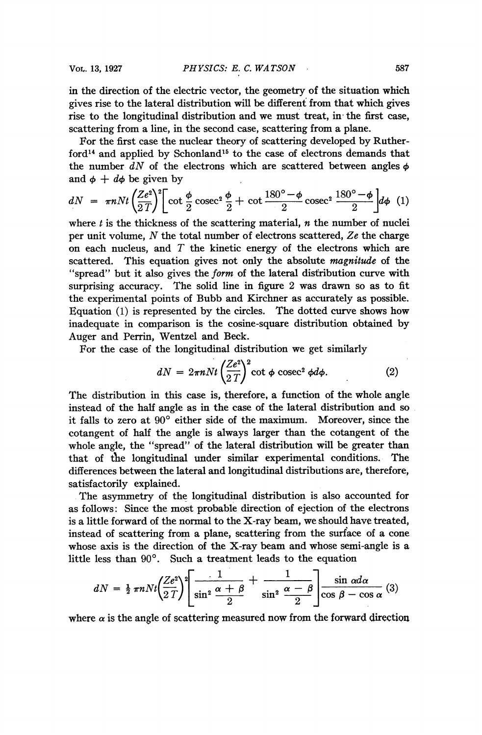in the direction of the electric vector, the geometry of the situation which gives rise to the lateral distribution will be different from that which gives rise to the longitudinal distribution and we must treat, in the first case, scattering from a line, in the second case, scattering from a plane.

For the first case the nuclear theory of scattering developed by Ruther $ford<sup>14</sup>$  and applied by Schonland<sup>15</sup> to the case of electrons demands that the number  $dN$  of the electrons which are scattered between angles  $\phi$ and  $\phi + d\phi$  be given by

$$
dN = \pi n N t \left(\frac{Ze^2}{2T}\right)^2 \left[\cot\frac{\phi}{2}\csc^2\frac{\phi}{2} + \cot\frac{180^\circ - \phi}{2}\csc^2\frac{180^\circ - \phi}{2}\right] d\phi \quad (1)
$$

where  $t$  is the thickness of the scattering material,  $n$  the number of nuclei per unit volume,  $N$  the total number of electrons scattered,  $Ze$  the charge on each nucleus, and  $T$  the kinetic energy of the electrons which are scattered. This equation gives not only the absolute *magnitude* of the "spread" but it also gives the form of the lateral distribution curve with surprising accuracy. The solid line in figure 2 was drawn so as to fit the experimental points of Bubb and Kirchner as accurately as possible. Equation (1) is represented by the circles. The dotted curve shows how inadequate in comparison is the cosine-square distribution obtained by Auger and Perrin, Wentzel and Beck.

For the case of the longitudinal distribution we get similarly

$$
dN = 2\pi n N t \left(\frac{Ze^2}{2T}\right)^2 \cot \phi \csc^2 \phi d\phi. \tag{2}
$$

The distribution in this case is, therefore, a function of the whole angle instead of the half angle as in the case of the lateral distribution and so it falls to zero at  $90^{\circ}$  either side of the maximum. Moreover, since the cotangent of half the angle is always larger than the cotangent of the whole angle, the "spread" of the lateral distribution will be greater than that of the longitudinal under similar experimental conditions. The differences between the lateral and longitudinal distributions are, therefore, satisfactorily explained.

The asymmetry of the longitudinal distribution is also accounted for as follows: Since the most probable direction of ejection of the electrons is a little forward of the normal to the X-ray beam, we should have treated, instead of scattering from a plane, scattering from the surface of a cone whose axis is the direction of the X-ray beam and whose semi-angle is a little less than  $90^\circ$ . Such a treatment leads to the equation

$$
dN = \frac{1}{2} \pi n N t \left( \frac{Ze^2}{2T} \right)^2 \left[ \frac{1}{\sin^2 \frac{\alpha + \beta}{2}} + \frac{1}{\sin^2 \frac{\alpha - \beta}{2}} \right] \frac{\sin \alpha d\alpha}{\cos \beta - \cos \alpha} (3)
$$

where  $\alpha$  is the angle of scattering measured now from the forward direction